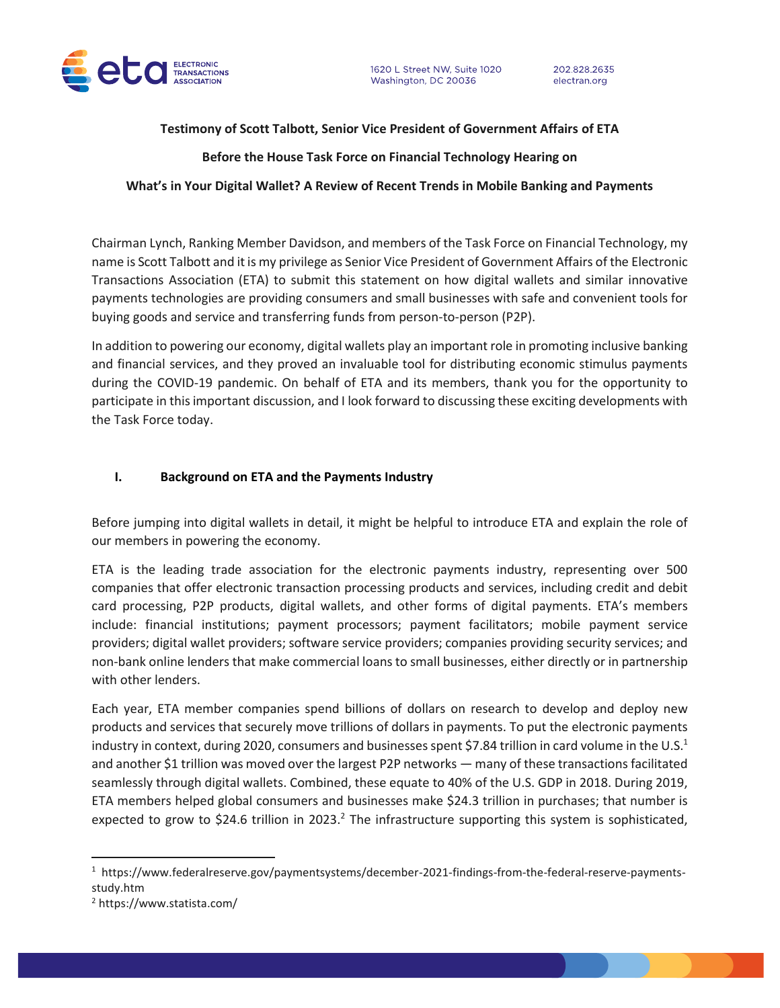

### **Testimony of Scott Talbott, Senior Vice President of Government Affairs of ETA**

## **Before the House Task Force on Financial Technology Hearing on**

### **What's in Your Digital Wallet? A Review of Recent Trends in Mobile Banking and Payments**

Chairman Lynch, Ranking Member Davidson, and members of the Task Force on Financial Technology, my name is Scott Talbott and it is my privilege as Senior Vice President of Government Affairs of the Electronic Transactions Association (ETA) to submit this statement on how digital wallets and similar innovative payments technologies are providing consumers and small businesses with safe and convenient tools for buying goods and service and transferring funds from person-to-person (P2P).

In addition to powering our economy, digital wallets play an important role in promoting inclusive banking and financial services, and they proved an invaluable tool for distributing economic stimulus payments during the COVID-19 pandemic. On behalf of ETA and its members, thank you for the opportunity to participate in this important discussion, and I look forward to discussing these exciting developments with the Task Force today.

# **I. Background on ETA and the Payments Industry**

Before jumping into digital wallets in detail, it might be helpful to introduce ETA and explain the role of our members in powering the economy.

ETA is the leading trade association for the electronic payments industry, representing over 500 companies that offer electronic transaction processing products and services, including credit and debit card processing, P2P products, digital wallets, and other forms of digital payments. ETA's members include: financial institutions; payment processors; payment facilitators; mobile payment service providers; digital wallet providers; software service providers; companies providing security services; and non-bank online lenders that make commercial loans to small businesses, either directly or in partnership with other lenders.

Each year, ETA member companies spend billions of dollars on research to develop and deploy new products and services that securely move trillions of dollars in payments. To put the electronic payments industry in context, during 2020, consumers and businesses spent \$7.84 trillion in card volume in the U.S.<sup>1</sup> and another \$1 trillion was moved over the largest P2P networks — many of these transactions facilitated seamlessly through digital wallets. Combined, these equate to 40% of the U.S. GDP in 2018. During 2019, ETA members helped global consumers and businesses make \$24.3 trillion in purchases; that number is expected to grow to \$24.6 trillion in 2023.<sup>2</sup> The infrastructure supporting this system is sophisticated,

<sup>1</sup> https://www.federalreserve.gov/paymentsystems/december-2021-findings-from-the-federal-reserve-paymentsstudy.htm

<sup>2</sup> https://www.statista.com/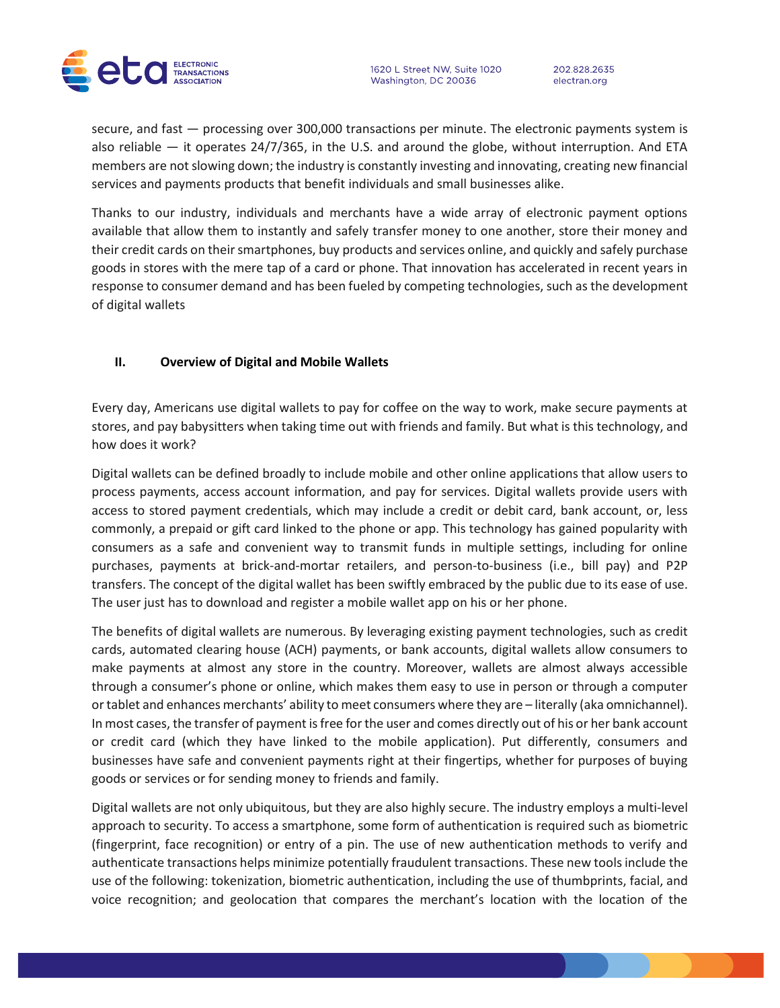

1620 L Street NW, Suite 1020 Washington, DC 20036

202.828.2635 electran.org

secure, and fast — processing over 300,000 transactions per minute. The electronic payments system is also reliable — it operates 24/7/365, in the U.S. and around the globe, without interruption. And ETA members are not slowing down; the industry is constantly investing and innovating, creating new financial services and payments products that benefit individuals and small businesses alike.

Thanks to our industry, individuals and merchants have a wide array of electronic payment options available that allow them to instantly and safely transfer money to one another, store their money and their credit cards on their smartphones, buy products and services online, and quickly and safely purchase goods in stores with the mere tap of a card or phone. That innovation has accelerated in recent years in response to consumer demand and has been fueled by competing technologies, such as the development of digital wallets

#### **II. Overview of Digital and Mobile Wallets**

Every day, Americans use digital wallets to pay for coffee on the way to work, make secure payments at stores, and pay babysitters when taking time out with friends and family. But what is this technology, and how does it work?

Digital wallets can be defined broadly to include mobile and other online applications that allow users to process payments, access account information, and pay for services. Digital wallets provide users with access to stored payment credentials, which may include a credit or debit card, bank account, or, less commonly, a prepaid or gift card linked to the phone or app. This technology has gained popularity with consumers as a safe and convenient way to transmit funds in multiple settings, including for online purchases, payments at brick-and-mortar retailers, and person-to-business (i.e., bill pay) and P2P transfers. The concept of the digital wallet has been swiftly embraced by the public due to its ease of use. The user just has to download and register a mobile wallet app on his or her phone.

The benefits of digital wallets are numerous. By leveraging existing payment technologies, such as credit cards, automated clearing house (ACH) payments, or bank accounts, digital wallets allow consumers to make payments at almost any store in the country. Moreover, wallets are almost always accessible through a consumer's phone or online, which makes them easy to use in person or through a computer or tablet and enhances merchants' ability to meet consumers where they are – literally (aka omnichannel). In most cases, the transfer of payment is free for the user and comes directly out of his or her bank account or credit card (which they have linked to the mobile application). Put differently, consumers and businesses have safe and convenient payments right at their fingertips, whether for purposes of buying goods or services or for sending money to friends and family.

Digital wallets are not only ubiquitous, but they are also highly secure. The industry employs a multi-level approach to security. To access a smartphone, some form of authentication is required such as biometric (fingerprint, face recognition) or entry of a pin. The use of new authentication methods to verify and authenticate transactions helps minimize potentially fraudulent transactions. These new tools include the use of the following: tokenization, biometric authentication, including the use of thumbprints, facial, and voice recognition; and geolocation that compares the merchant's location with the location of the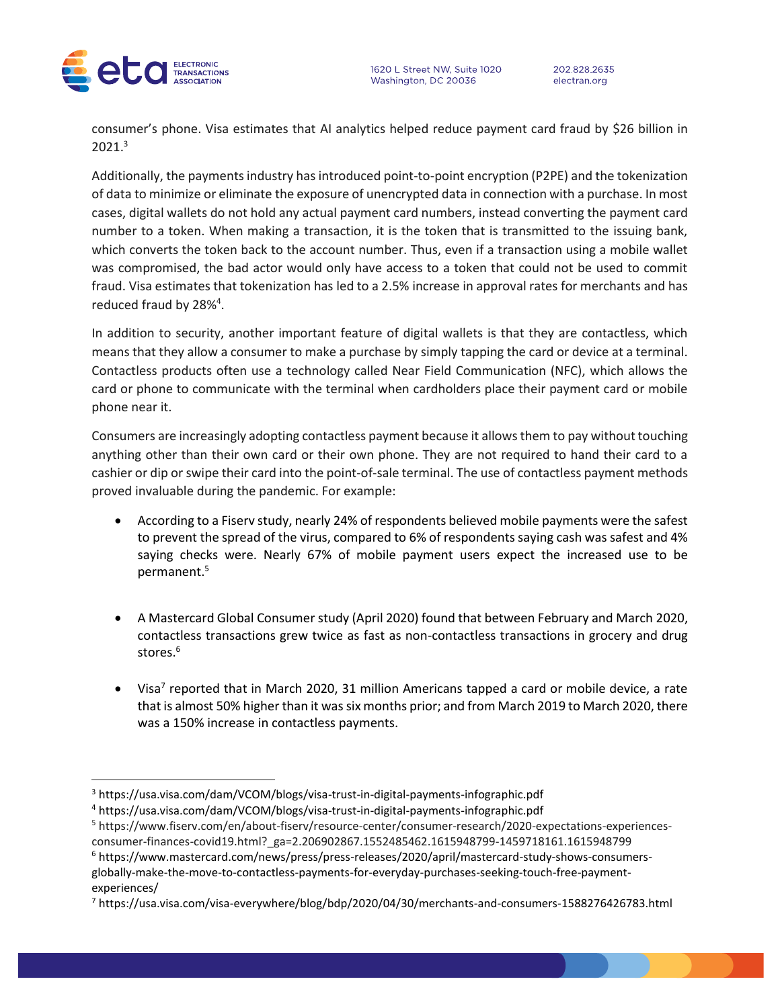



202.828.2635

electran.org

consumer's phone. Visa estimates that AI analytics helped reduce payment card fraud by \$26 billion in 2021.<sup>3</sup>

Additionally, the payments industry has introduced point-to-point encryption (P2PE) and the tokenization of data to minimize or eliminate the exposure of unencrypted data in connection with a purchase. In most cases, digital wallets do not hold any actual payment card numbers, instead converting the payment card number to a token. When making a transaction, it is the token that is transmitted to the issuing bank, which converts the token back to the account number. Thus, even if a transaction using a mobile wallet was compromised, the bad actor would only have access to a token that could not be used to commit fraud. Visa estimates that tokenization has led to a 2.5% increase in approval rates for merchants and has reduced fraud by 28%<sup>4</sup>.

In addition to security, another important feature of digital wallets is that they are contactless, which means that they allow a consumer to make a purchase by simply tapping the card or device at a terminal. Contactless products often use a technology called Near Field Communication (NFC), which allows the card or phone to communicate with the terminal when cardholders place their payment card or mobile phone near it.

Consumers are increasingly adopting contactless payment because it allows them to pay without touching anything other than their own card or their own phone. They are not required to hand their card to a cashier or dip or swipe their card into the point-of-sale terminal. The use of contactless payment methods proved invaluable during the pandemic. For example:

- According to a Fiserv study, nearly 24% of respondents believed mobile payments were the safest to prevent the spread of the virus, compared to 6% of respondents saying cash was safest and 4% saying checks were. Nearly 67% of mobile payment users expect the increased use to be permanent.<sup>5</sup>
- A Mastercard Global Consumer study (April 2020) found that between February and March 2020, contactless transactions grew twice as fast as non-contactless transactions in grocery and drug stores.<sup>6</sup>
- $\bullet$  Visa<sup>7</sup> reported that in March 2020, 31 million Americans tapped a card or mobile device, a rate that is almost 50% higher than it was six months prior; and from March 2019 to March 2020, there was a 150% increase in contactless payments.

<sup>3</sup> https://usa.visa.com/dam/VCOM/blogs/visa-trust-in-digital-payments-infographic.pdf

<sup>4</sup> https://usa.visa.com/dam/VCOM/blogs/visa-trust-in-digital-payments-infographic.pdf

<sup>5</sup> https://www.fiserv.com/en/about-fiserv/resource-center/consumer-research/2020-expectations-experiencesconsumer-finances-covid19.html?\_ga=2.206902867.1552485462.1615948799-1459718161.1615948799

<sup>6</sup> https://www.mastercard.com/news/press/press-releases/2020/april/mastercard-study-shows-consumersglobally-make-the-move-to-contactless-payments-for-everyday-purchases-seeking-touch-free-paymentexperiences/

<sup>7</sup> https://usa.visa.com/visa-everywhere/blog/bdp/2020/04/30/merchants-and-consumers-1588276426783.html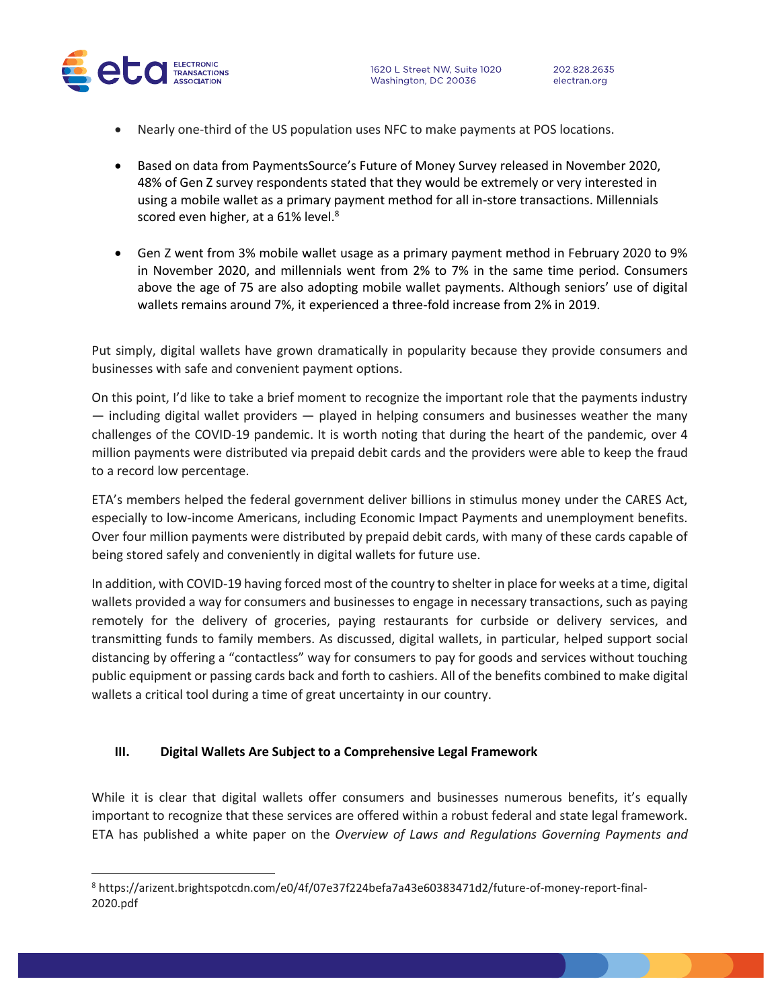

- Nearly one-third of the US population uses NFC to make payments at POS locations.
- Based on data from PaymentsSource's Future of Money Survey released in November 2020, 48% of Gen Z survey respondents stated that they would be extremely or very interested in using a mobile wallet as a primary payment method for all in-store transactions. Millennials scored even higher, at a 61% level.<sup>8</sup>
- Gen Z went from 3% mobile wallet usage as a primary payment method in February 2020 to 9% in November 2020, and millennials went from 2% to 7% in the same time period. Consumers above the age of 75 are also adopting mobile wallet payments. Although seniors' use of digital wallets remains around 7%, it experienced a three-fold increase from 2% in 2019.

Put simply, digital wallets have grown dramatically in popularity because they provide consumers and businesses with safe and convenient payment options.

On this point, I'd like to take a brief moment to recognize the important role that the payments industry — including digital wallet providers — played in helping consumers and businesses weather the many challenges of the COVID-19 pandemic. It is worth noting that during the heart of the pandemic, over 4 million payments were distributed via prepaid debit cards and the providers were able to keep the fraud to a record low percentage.

ETA's members helped the federal government deliver billions in stimulus money under the CARES Act, especially to low-income Americans, including Economic Impact Payments and unemployment benefits. Over four million payments were distributed by prepaid debit cards, with many of these cards capable of being stored safely and conveniently in digital wallets for future use.

In addition, with COVID-19 having forced most of the country to shelter in place for weeks at a time, digital wallets provided a way for consumers and businesses to engage in necessary transactions, such as paying remotely for the delivery of groceries, paying restaurants for curbside or delivery services, and transmitting funds to family members. As discussed, digital wallets, in particular, helped support social distancing by offering a "contactless" way for consumers to pay for goods and services without touching public equipment or passing cards back and forth to cashiers. All of the benefits combined to make digital wallets a critical tool during a time of great uncertainty in our country.

#### **III. Digital Wallets Are Subject to a Comprehensive Legal Framework**

While it is clear that digital wallets offer consumers and businesses numerous benefits, it's equally important to recognize that these services are offered within a robust federal and state legal framework. ETA has published a white paper on the *Overview of Laws and Regulations Governing Payments and* 

<sup>8</sup> https://arizent.brightspotcdn.com/e0/4f/07e37f224befa7a43e60383471d2/future-of-money-report-final-2020.pdf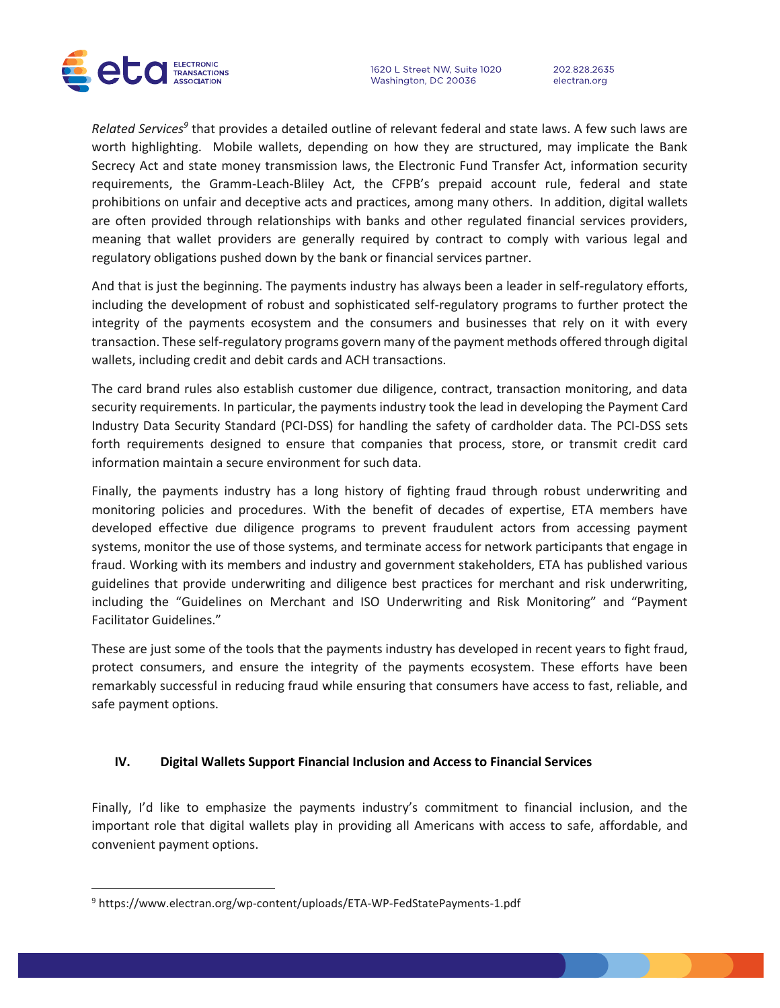

1620 L Street NW, Suite 1020 Washington, DC 20036

202.828.2635 electran.org

Related Services<sup>9</sup> that provides a detailed outline of relevant federal and state laws. A few such laws are worth highlighting. Mobile wallets, depending on how they are structured, may implicate the Bank Secrecy Act and state money transmission laws, the Electronic Fund Transfer Act, information security requirements, the Gramm-Leach-Bliley Act, the CFPB's prepaid account rule, federal and state prohibitions on unfair and deceptive acts and practices, among many others. In addition, digital wallets are often provided through relationships with banks and other regulated financial services providers, meaning that wallet providers are generally required by contract to comply with various legal and regulatory obligations pushed down by the bank or financial services partner.

And that is just the beginning. The payments industry has always been a leader in self-regulatory efforts, including the development of robust and sophisticated self-regulatory programs to further protect the integrity of the payments ecosystem and the consumers and businesses that rely on it with every transaction. These self-regulatory programs govern many of the payment methods offered through digital wallets, including credit and debit cards and ACH transactions.

The card brand rules also establish customer due diligence, contract, transaction monitoring, and data security requirements. In particular, the payments industry took the lead in developing the Payment Card Industry Data Security Standard (PCI-DSS) for handling the safety of cardholder data. The PCI-DSS sets forth requirements designed to ensure that companies that process, store, or transmit credit card information maintain a secure environment for such data.

Finally, the payments industry has a long history of fighting fraud through robust underwriting and monitoring policies and procedures. With the benefit of decades of expertise, ETA members have developed effective due diligence programs to prevent fraudulent actors from accessing payment systems, monitor the use of those systems, and terminate access for network participants that engage in fraud. Working with its members and industry and government stakeholders, ETA has published various guidelines that provide underwriting and diligence best practices for merchant and risk underwriting, including the "Guidelines on Merchant and ISO Underwriting and Risk Monitoring" and "Payment Facilitator Guidelines."

These are just some of the tools that the payments industry has developed in recent years to fight fraud, protect consumers, and ensure the integrity of the payments ecosystem. These efforts have been remarkably successful in reducing fraud while ensuring that consumers have access to fast, reliable, and safe payment options.

#### **IV. Digital Wallets Support Financial Inclusion and Access to Financial Services**

Finally, I'd like to emphasize the payments industry's commitment to financial inclusion, and the important role that digital wallets play in providing all Americans with access to safe, affordable, and convenient payment options.

<sup>9</sup> https://www.electran.org/wp-content/uploads/ETA-WP-FedStatePayments-1.pdf